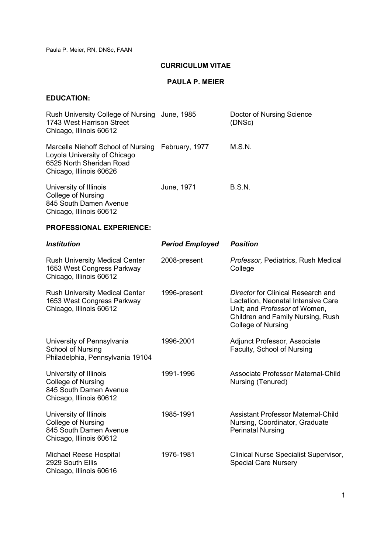## **CURRICULUM VITAE**

## **PAULA P. MEIER**

# **EDUCATION:**

| Rush University College of Nursing June, 1985<br>1743 West Harrison Street<br>Chicago, Illinois 60612                                    |            | Doctor of Nursing Science<br>(DNSc) |
|------------------------------------------------------------------------------------------------------------------------------------------|------------|-------------------------------------|
| Marcella Niehoff School of Nursing February, 1977<br>Loyola University of Chicago<br>6525 North Sheridan Road<br>Chicago, Illinois 60626 |            | M.S.N.                              |
| University of Illinois<br><b>College of Nursing</b><br>845 South Damen Avenue<br>Chicago, Illinois 60612                                 | June, 1971 | <b>B.S.N.</b>                       |

## **PROFESSIONAL EXPERIENCE:**

| <b>Institution</b>                                                                                       | <b>Period Employed</b> | <b>Position</b>                                                                                                                                                             |
|----------------------------------------------------------------------------------------------------------|------------------------|-----------------------------------------------------------------------------------------------------------------------------------------------------------------------------|
| <b>Rush University Medical Center</b><br>1653 West Congress Parkway<br>Chicago, Illinois 60612           | 2008-present           | Professor, Pediatrics, Rush Medical<br>College                                                                                                                              |
| <b>Rush University Medical Center</b><br>1653 West Congress Parkway<br>Chicago, Illinois 60612           | 1996-present           | Director for Clinical Research and<br>Lactation, Neonatal Intensive Care<br>Unit; and Professor of Women,<br>Children and Family Nursing, Rush<br><b>College of Nursing</b> |
| University of Pennsylvania<br>School of Nursing<br>Philadelphia, Pennsylvania 19104                      | 1996-2001              | Adjunct Professor, Associate<br>Faculty, School of Nursing                                                                                                                  |
| University of Illinois<br><b>College of Nursing</b><br>845 South Damen Avenue<br>Chicago, Illinois 60612 | 1991-1996              | Associate Professor Maternal-Child<br>Nursing (Tenured)                                                                                                                     |
| University of Illinois<br>College of Nursing<br>845 South Damen Avenue<br>Chicago, Illinois 60612        | 1985-1991              | <b>Assistant Professor Maternal-Child</b><br>Nursing, Coordinator, Graduate<br><b>Perinatal Nursing</b>                                                                     |
| Michael Reese Hospital<br>2929 South Ellis<br>Chicago, Illinois 60616                                    | 1976-1981              | Clinical Nurse Specialist Supervisor,<br><b>Special Care Nursery</b>                                                                                                        |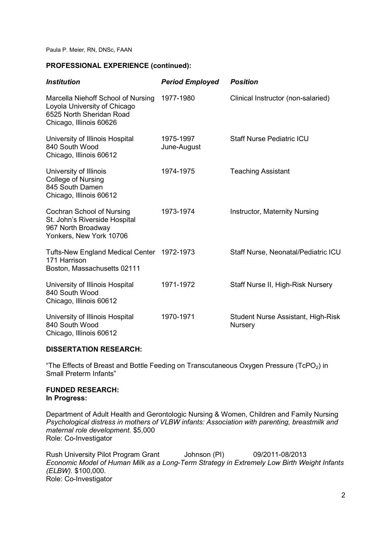### **PROFESSIONAL EXPERIENCE (continued):**

| <i><b>Institution</b></i>                                                                                                 | <b>Period Employed</b>   | <b>Position</b>                                      |
|---------------------------------------------------------------------------------------------------------------------------|--------------------------|------------------------------------------------------|
| Marcella Niehoff School of Nursing<br>Loyola University of Chicago<br>6525 North Sheridan Road<br>Chicago, Illinois 60626 | 1977-1980                | Clinical Instructor (non-salaried)                   |
| University of Illinois Hospital<br>840 South Wood<br>Chicago, Illinois 60612                                              | 1975-1997<br>June-August | <b>Staff Nurse Pediatric ICU</b>                     |
| University of Illinois<br><b>College of Nursing</b><br>845 South Damen<br>Chicago, Illinois 60612                         | 1974-1975                | <b>Teaching Assistant</b>                            |
| Cochran School of Nursing<br>St. John's Riverside Hospital<br>967 North Broadway<br>Yonkers, New York 10706               | 1973-1974                | Instructor, Maternity Nursing                        |
| Tufts-New England Medical Center 1972-1973<br>171 Harrison<br>Boston, Massachusetts 02111                                 |                          | Staff Nurse, Neonatal/Pediatric ICU                  |
| University of Illinois Hospital<br>840 South Wood<br>Chicago, Illinois 60612                                              | 1971-1972                | Staff Nurse II, High-Risk Nursery                    |
| University of Illinois Hospital<br>840 South Wood<br>Chicago, Illinois 60612                                              | 1970-1971                | Student Nurse Assistant, High-Risk<br><b>Nursery</b> |

### **DISSERTATION RESEARCH:**

"The Effects of Breast and Bottle Feeding on Transcutaneous Oxygen Pressure (TcPO $_2$ ) in Small Preterm Infants"

### **FUNDED RESEARCH: In Progress:**

Department of Adult Health and Gerontologic Nursing & Women, Children and Family Nursing *Psychological distress in mothers of VLBW infants: Association with parenting, breastmilk and maternal role development.* \$5,000 Role: Co-Investigator

Rush University Pilot Program Grant Johnson (PI) 09/2011-08/2013 *Economic Model of Human Milk as a Long-Term Strategy in Extremely Low Birth Weight Infants (ELBW).* \$100,000. Role: Co-Investigator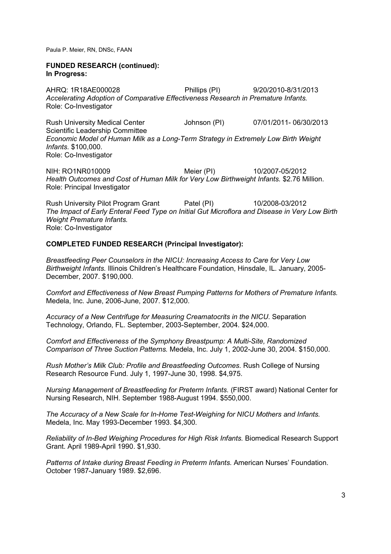#### **FUNDED RESEARCH (continued): In Progress:**

AHRQ: 1R18AE000028 Phillips (PI) 9/20/2010-8/31/2013 *Accelerating Adoption of Comparative Effectiveness Research in Premature Infants.*  Role: Co-Investigator

Rush University Medical Center Johnson (PI) 07/01/2011- 06/30/2013 Scientific Leadership Committee *Economic Model of Human Milk as a Long-Term Strategy in Extremely Low Birth Weight Infants.* \$100,000. Role: Co-Investigator

NIH: RO1NR010009 Meier (PI) 10/2007-05/2012 *Health Outcomes and Cost of Human Milk for Very Low Birthweight Infants.* \$2.76 Million. Role: Principal Investigator

Rush University Pilot Program Grant Patel (PI) 10/2008-03/2012 *The Impact of Early Enteral Feed Type on Initial Gut Microflora and Disease in Very Low Birth Weight Premature Infants.*  Role: Co-Investigator

### **COMPLETED FUNDED RESEARCH (Principal Investigator):**

*Breastfeeding Peer Counselors in the NICU: Increasing Access to Care for Very Low Birthweight Infants.* Illinois Children's Healthcare Foundation, Hinsdale, IL. January, 2005- December, 2007. \$190,000.

*Comfort and Effectiveness of New Breast Pumping Patterns for Mothers of Premature Infants.*  Medela, Inc. June, 2006-June, 2007. \$12,000.

*Accuracy of a New Centrifuge for Measuring Creamatocrits in the NICU.* Separation Technology, Orlando, FL. September, 2003-September, 2004. \$24,000.

*Comfort and Effectiveness of the Symphony Breastpump: A Multi-Site, Randomized Comparison of Three Suction Patterns.* Medela, Inc. July 1, 2002-June 30, 2004. \$150,000.

*Rush Mother's Milk Club: Profile and Breastfeeding Outcomes.* Rush College of Nursing Research Resource Fund. July 1, 1997-June 30, 1998. \$4,975.

*Nursing Management of Breastfeeding for Preterm Infants.* (FIRST award) National Center for Nursing Research, NIH. September 1988-August 1994. \$550,000.

*The Accuracy of a New Scale for In-Home Test-Weighing for NICU Mothers and Infants.*  Medela, Inc. May 1993-December 1993. \$4,300.

*Reliability of In-Bed Weighing Procedures for High Risk Infants.* Biomedical Research Support Grant. April 1989-April 1990. \$1,930.

*Patterns of Intake during Breast Feeding in Preterm Infants.* American Nurses' Foundation. October 1987-January 1989. \$2,696.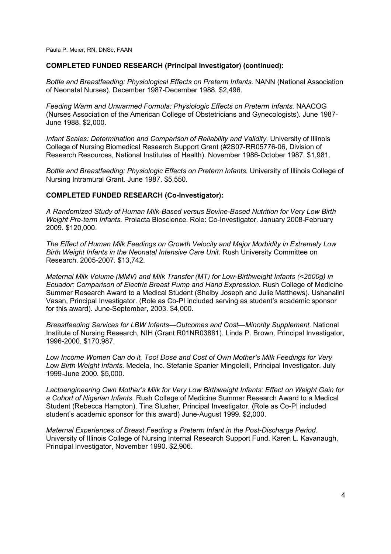### **COMPLETED FUNDED RESEARCH (Principal Investigator) (continued):**

*Bottle and Breastfeeding: Physiological Effects on Preterm Infants.* NANN (National Association of Neonatal Nurses). December 1987-December 1988. \$2,496.

*Feeding Warm and Unwarmed Formula: Physiologic Effects on Preterm Infants.* NAACOG (Nurses Association of the American College of Obstetricians and Gynecologists). June 1987- June 1988. \$2,000.

*Infant Scales: Determination and Comparison of Reliability and Validity.* University of Illinois College of Nursing Biomedical Research Support Grant (#2S07-RR05776-06, Division of Research Resources, National Institutes of Health). November 1986-October 1987. \$1,981.

*Bottle and Breastfeeding: Physiologic Effects on Preterm Infants.* University of Illinois College of Nursing Intramural Grant. June 1987. \$5,550.

#### **COMPLETED FUNDED RESEARCH (Co-Investigator):**

*A Randomized Study of Human Milk-Based versus Bovine-Based Nutrition for Very Low Birth Weight Pre-term Infants.* Prolacta Bioscience. Role: Co-Investigator. January 2008-February 2009. \$120,000.

*The Effect of Human Milk Feedings on Growth Velocity and Major Morbidity in Extremely Low Birth Weight Infants in the Neonatal Intensive Care Unit.* Rush University Committee on Research. 2005-2007. \$13,742.

*Maternal Milk Volume (MMV) and Milk Transfer (MT) for Low-Birthweight Infants (<2500g) in Ecuador: Comparison of Electric Breast Pump and Hand Expression.* Rush College of Medicine Summer Research Award to a Medical Student (Shelby Joseph and Julie Matthews). Ushanalini Vasan, Principal Investigator. (Role as Co-PI included serving as student's academic sponsor for this award). June-September, 2003. \$4,000.

*Breastfeeding Services for LBW Infants—Outcomes and Cost—Minority Supplement.* National Institute of Nursing Research, NIH (Grant R01NR03881). Linda P. Brown, Principal Investigator, 1996-2000. \$170,987.

*Low Income Women Can do it, Too! Dose and Cost of Own Mother's Milk Feedings for Very Low Birth Weight Infants.* Medela, Inc. Stefanie Spanier Mingolelli, Principal Investigator. July 1999-June 2000. \$5,000.

*Lactoengineering Own Mother's Milk for Very Low Birthweight Infants: Effect on Weight Gain for a Cohort of Nigerian Infants.* Rush College of Medicine Summer Research Award to a Medical Student (Rebecca Hampton). Tina Slusher, Principal Investigator. (Role as Co-PI included student's academic sponsor for this award) June-August 1999. \$2,000.

*Maternal Experiences of Breast Feeding a Preterm Infant in the Post-Discharge Period.*  University of Illinois College of Nursing Internal Research Support Fund. Karen L. Kavanaugh, Principal Investigator, November 1990. \$2,906.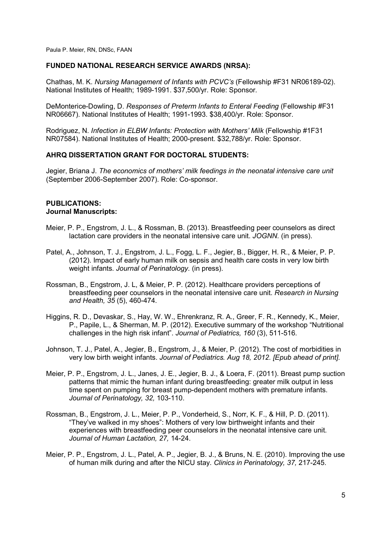## **FUNDED NATIONAL RESEARCH SERVICE AWARDS (NRSA):**

Chathas, M. K. *Nursing Management of Infants with PCVC's* (Fellowship #F31 NR06189-02). National Institutes of Health; 1989-1991. \$37,500/yr. Role: Sponsor.

DeMonterice-Dowling, D. *Responses of Preterm Infants to Enteral Feeding* (Fellowship #F31 NR06667). National Institutes of Health; 1991-1993. \$38,400/yr. Role: Sponsor.

Rodriguez, N. *Infection in ELBW Infants: Protection with Mothers' Milk* (Fellowship #1F31) NR07584). National Institutes of Health; 2000-present. \$32,788/yr. Role: Sponsor.

#### **AHRQ DISSERTATION GRANT FOR DOCTORAL STUDENTS:**

Jegier, Briana J. *The economics of mothers' milk feedings in the neonatal intensive care unit*  (September 2006-September 2007). Role: Co-sponsor.

#### **PUBLICATIONS: Journal Manuscripts:**

- Meier, P. P., Engstrom, J. L., & Rossman, B. (2013). Breastfeeding peer counselors as direct lactation care providers in the neonatal intensive care unit. *JOGNN.* (in press).
- Patel, A., Johnson, T. J., Engstrom, J. L., Fogg, L. F., Jegier, B., Bigger, H. R., & Meier, P. P. (2012). Impact of early human milk on sepsis and health care costs in very low birth weight infants. *Journal of Perinatology.* (in press).
- Rossman, B., Engstrom, J. L, & Meier, P. P. (2012). Healthcare providers perceptions of breastfeeding peer counselors in the neonatal intensive care unit. *Research in Nursing and Health, 35* (5), 460-474.
- Higgins, R. D., Devaskar, S., Hay, W. W., Ehrenkranz, R. A., Greer, F. R., Kennedy, K., Meier, P., Papile, L., & Sherman, M. P. (2012). Executive summary of the workshop "Nutritional challenges in the high risk infant". *Journal of Pediatrics, 160* (3), 511-516.
- Johnson, T. J., Patel, A., Jegier, B., Engstrom, J., & Meier, P. (2012). The cost of morbidities in very low birth weight infants. *Journal of Pediatrics. Aug 18, 2012. [Epub ahead of print].*
- Meier, P. P., Engstrom, J. L., Janes, J. E., Jegier, B. J., & Loera, F. (2011). Breast pump suction patterns that mimic the human infant during breastfeeding: greater milk output in less time spent on pumping for breast pump-dependent mothers with premature infants. *Journal of Perinatology, 32,* 103-110.
- Rossman, B., Engstrom, J. L., Meier, P. P., Vonderheid, S., Norr, K. F., & Hill, P. D. (2011). "They've walked in my shoes": Mothers of very low birthweight infants and their experiences with breastfeeding peer counselors in the neonatal intensive care unit. *Journal of Human Lactation, 27,* 14-24.
- Meier, P. P., Engstrom, J. L., Patel, A. P., Jegier, B. J., & Bruns, N. E. (2010). Improving the use of human milk during and after the NICU stay. *Clinics in Perinatology, 37,* 217-245.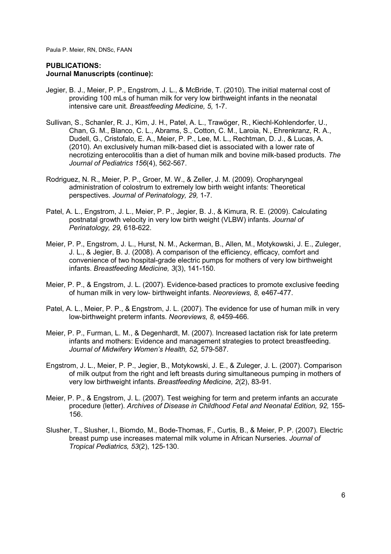- Jegier, B. J., Meier, P. P., Engstrom, J. L., & McBride, T. (2010). The initial maternal cost of providing 100 mLs of human milk for very low birthweight infants in the neonatal intensive care unit. *Breastfeeding Medicine, 5,* 1-7.
- Sullivan, S., Schanler, R. J., Kim, J. H., Patel, A. L., Trawöger, R., Kiechl-Kohlendorfer, U., Chan, G. M., Blanco, C. L., Abrams, S., Cotton, C. M., Laroia, N., Ehrenkranz, R. A., Dudell, G., Cristofalo, E. A., Meier, P. P., Lee, M. L., Rechtman, D. J., & Lucas, A. (2010). An exclusively human milk-based diet is associated with a lower rate of necrotizing enterocolitis than a diet of human milk and bovine milk-based products. *The Journal of Pediatrics 156*(4), 562-567.
- Rodriguez, N. R., Meier, P. P., Groer, M. W., & Zeller, J. M. (2009). Oropharyngeal administration of colostrum to extremely low birth weight infants: Theoretical perspectives. *Journal of Perinatology, 29,* 1-7.
- Patel, A. L., Engstrom, J. L., Meier, P. P., Jegier, B. J., & Kimura, R. E. (2009). Calculating postnatal growth velocity in very low birth weight (VLBW) infants. *Journal of Perinatology, 29,* 618-622.
- Meier, P. P., Engstrom, J. L., Hurst, N. M., Ackerman, B., Allen, M., Motykowski, J. E., Zuleger, J. L., & Jegier, B. J. (2008). A comparison of the efficiency, efficacy, comfort and convenience of two hospital-grade electric pumps for mothers of very low birthweight infants. *Breastfeeding Medicine, 3*(3), 141-150.
- Meier, P. P., & Engstrom, J. L. (2007). Evidence-based practices to promote exclusive feeding of human milk in very low- birthweight infants. *Neoreviews, 8,* e467-477.
- Patel, A. L., Meier, P. P., & Engstrom, J. L. (2007). The evidence for use of human milk in very low-birthweight preterm infants. *Neoreviews, 8,* e459-466.
- Meier, P. P., Furman, L. M., & Degenhardt, M. (2007). Increased lactation risk for late preterm infants and mothers: Evidence and management strategies to protect breastfeeding. *Journal of Midwifery Women's Health, 52,* 579-587.
- Engstrom, J. L., Meier, P. P., Jegier, B., Motykowski, J. E., & Zuleger, J. L. (2007). Comparison of milk output from the right and left breasts during simultaneous pumping in mothers of very low birthweight infants. *Breastfeeding Medicine, 2*(2), 83-91.
- Meier, P. P., & Engstrom, J. L. (2007). Test weighing for term and preterm infants an accurate procedure (letter). *Archives of Disease in Childhood Fetal and Neonatal Edition, 92,* 155- 156.
- Slusher, T., Slusher, I., Biomdo, M., Bode-Thomas, F., Curtis, B., & Meier, P. P. (2007). Electric breast pump use increases maternal milk volume in African Nurseries. *Journal of Tropical Pediatrics, 53*(2), 125-130.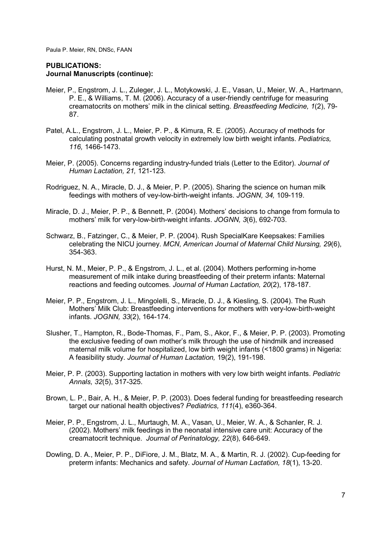- Meier, P., Engstrom, J. L., Zuleger, J. L., Motykowski, J. E., Vasan, U., Meier, W. A., Hartmann, P. E., & Williams, T. M. (2006). Accuracy of a user-friendly centrifuge for measuring creamatocrits on mothers' milk in the clinical setting. *Breastfeeding Medicine, 1*(2), 79- 87.
- Patel, A.L., Engstrom, J. L., Meier, P. P., & Kimura, R. E. (2005). Accuracy of methods for calculating postnatal growth velocity in extremely low birth weight infants. *Pediatrics, 116,* 1466-1473.
- Meier, P. (2005). Concerns regarding industry-funded trials (Letter to the Editor). *Journal of Human Lactation, 21,* 121-123.
- Rodriguez, N. A., Miracle, D. J., & Meier, P. P. (2005). Sharing the science on human milk feedings with mothers of vey-low-birth-weight infants. *JOGNN, 34,* 109-119.
- Miracle, D. J., Meier, P. P., & Bennett, P. (2004). Mothers' decisions to change from formula to mothers' milk for very-low-birth-weight infants. *JOGNN, 3*(6), 692-703.
- Schwarz, B., Fatzinger, C., & Meier, P. P. (2004). Rush SpecialKare Keepsakes: Families celebrating the NICU journey. *MCN, American Journal of Maternal Child Nursing, 29*(6), 354-363.
- Hurst, N. M., Meier, P. P., & Engstrom, J. L., et al. (2004). Mothers performing in-home measurement of milk intake during breastfeeding of their preterm infants: Maternal reactions and feeding outcomes. *Journal of Human Lactation, 20*(2), 178-187.
- Meier, P. P., Engstrom, J. L., Mingolelli, S., Miracle, D. J., & Kiesling, S. (2004). The Rush Mothers' Milk Club: Breastfeeding interventions for mothers with very-low-birth-weight infants. *JOGNN, 33*(2), 164-174.
- Slusher, T., Hampton, R., Bode-Thomas, F., Pam, S., Akor, F., & Meier, P. P. (2003). Promoting the exclusive feeding of own mother's milk through the use of hindmilk and increased maternal milk volume for hospitalized, low birth weight infants (<1800 grams) in Nigeria: A feasibility study. *Journal of Human Lactation,* 19(2), 191-198.
- Meier, P. P. (2003). Supporting lactation in mothers with very low birth weight infants. *Pediatric Annals, 32*(5), 317-325.
- Brown, L. P., Bair, A. H., & Meier, P. P. (2003). Does federal funding for breastfeeding research target our national health objectives? *Pediatrics, 111*(4), e360-364.
- Meier, P. P., Engstrom, J. L., Murtaugh, M. A., Vasan, U., Meier, W. A., & Schanler, R. J. (2002). Mothers' milk feedings in the neonatal intensive care unit: Accuracy of the creamatocrit technique. *Journal of Perinatology, 22*(8), 646-649.
- Dowling, D. A., Meier, P. P., DiFiore, J. M., Blatz, M. A., & Martin, R. J. (2002). Cup-feeding for preterm infants: Mechanics and safety. *Journal of Human Lactation, 18*(1), 13-20.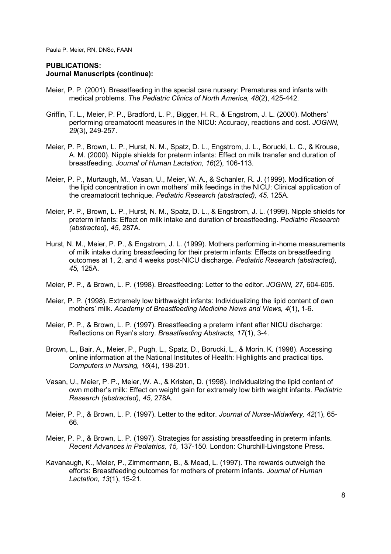- Meier, P. P. (2001). Breastfeeding in the special care nursery: Prematures and infants with medical problems. *The Pediatric Clinics of North America, 48*(2), 425-442.
- Griffin, T. L., Meier, P. P., Bradford, L. P., Bigger, H. R., & Engstrom, J. L. (2000). Mothers' performing creamatocrit measures in the NICU: Accuracy, reactions and cost. *JOGNN, 29*(3), 249-257.
- Meier, P. P., Brown, L. P., Hurst, N. M., Spatz, D. L., Engstrom, J. L., Borucki, L. C., & Krouse, A. M. (2000). Nipple shields for preterm infants: Effect on milk transfer and duration of breastfeeding. *Journal of Human Lactation, 16*(2), 106-113.
- Meier, P. P., Murtaugh, M., Vasan, U., Meier, W. A., & Schanler, R. J. (1999). Modification of the lipid concentration in own mothers' milk feedings in the NICU: Clinical application of the creamatocrit technique. *Pediatric Research (abstracted), 45,* 125A.
- Meier, P. P., Brown, L. P., Hurst, N. M., Spatz, D. L., & Engstrom, J. L. (1999). Nipple shields for preterm infants: Effect on milk intake and duration of breastfeeding. *Pediatric Research (abstracted), 45,* 287A.
- Hurst, N. M., Meier, P. P., & Engstrom, J. L. (1999). Mothers performing in-home measurements of milk intake during breastfeeding for their preterm infants: Effects on breastfeeding outcomes at 1, 2, and 4 weeks post-NICU discharge. *Pediatric Research (abstracted), 45,* 125A.
- Meier, P. P., & Brown, L. P. (1998). Breastfeeding: Letter to the editor. *JOGNN, 27,* 604-605.
- Meier, P. P. (1998). Extremely low birthweight infants: Individualizing the lipid content of own mothers' milk. *Academy of Breastfeeding Medicine News and Views, 4*(1), 1-6.
- Meier, P. P., & Brown, L. P. (1997). Breastfeeding a preterm infant after NICU discharge: Reflections on Ryan's story. *Breastfeeding Abstracts, 17*(1), 3-4.
- Brown, L., Bair, A., Meier, P., Pugh, L., Spatz, D., Borucki, L., & Morin, K. (1998). Accessing online information at the National Institutes of Health: Highlights and practical tips. *Computers in Nursing, 16*(4), 198-201.
- Vasan, U., Meier, P. P., Meier, W. A., & Kristen, D. (1998). Individualizing the lipid content of own mother's milk: Effect on weight gain for extremely low birth weight infants. *Pediatric Research (abstracted), 45,* 278A.
- Meier, P. P., & Brown, L. P. (1997). Letter to the editor. *Journal of Nurse-Midwifery, 42*(1), 65- 66.
- Meier, P. P., & Brown, L. P. (1997). Strategies for assisting breastfeeding in preterm infants. *Recent Advances in Pediatrics, 15,* 137-150. London: Churchill-Livingstone Press.
- Kavanaugh, K., Meier, P., Zimmermann, B., & Mead, L. (1997). The rewards outweigh the efforts: Breastfeeding outcomes for mothers of preterm infants. *Journal of Human Lactation, 13*(1), 15-21.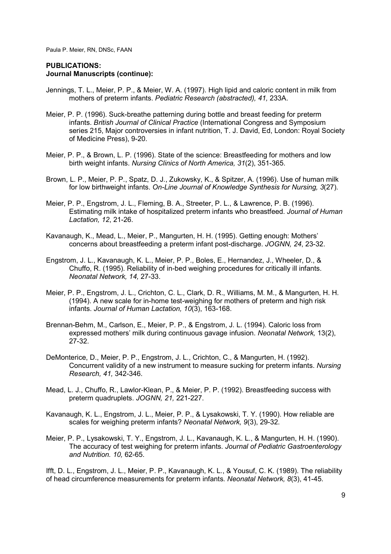#### **PUBLICATIONS: Journal Manuscripts (continue):**

- Jennings, T. L., Meier, P. P., & Meier, W. A. (1997). High lipid and caloric content in milk from mothers of preterm infants. *Pediatric Research (abstracted), 41,* 233A.
- Meier, P. P. (1996). Suck-breathe patterning during bottle and breast feeding for preterm infants. *British Journal of Clinical Practice* (International Congress and Symposium series 215, Major controversies in infant nutrition, T. J. David, Ed, London: Royal Society of Medicine Press), 9-20.
- Meier, P. P., & Brown, L. P. (1996). State of the science: Breastfeeding for mothers and low birth weight infants. *Nursing Clinics of North America, 31*(2), 351-365.
- Brown, L. P., Meier, P. P., Spatz, D. J., Zukowsky, K., & Spitzer, A. (1996). Use of human milk for low birthweight infants. *On-Line Journal of Knowledge Synthesis for Nursing, 3*(27).
- Meier, P. P., Engstrom, J. L., Fleming, B. A., Streeter, P. L., & Lawrence, P. B. (1996). Estimating milk intake of hospitalized preterm infants who breastfeed. *Journal of Human Lactation, 12*, 21-26.
- Kavanaugh, K., Mead, L., Meier, P., Mangurten, H. H. (1995). Getting enough: Mothers' concerns about breastfeeding a preterm infant post-discharge. *JOGNN, 24*, 23-32.
- Engstrom, J. L., Kavanaugh, K. L., Meier, P. P., Boles, E., Hernandez, J., Wheeler, D., & Chuffo, R. (1995). Reliability of in-bed weighing procedures for critically ill infants. *Neonatal Network, 14,* 27-33.
- Meier, P. P., Engstrom, J. L., Crichton, C. L., Clark, D. R., Williams, M. M., & Mangurten, H. H. (1994). A new scale for in-home test-weighing for mothers of preterm and high risk infants. *Journal of Human Lactation, 10*(3), 163-168.
- Brennan-Behm, M., Carlson, E., Meier, P. P., & Engstrom, J. L. (1994). Caloric loss from expressed mothers' milk during continuous gavage infusion. *Neonatal Network,* 13(2), 27-32.
- DeMonterice, D., Meier, P. P., Engstrom, J. L., Crichton, C., & Mangurten, H. (1992). Concurrent validity of a new instrument to measure sucking for preterm infants. *Nursing Research, 41,* 342-346.
- Mead, L. J., Chuffo, R., Lawlor-Klean, P., & Meier, P. P. (1992). Breastfeeding success with preterm quadruplets. *JOGNN, 21,* 221-227.
- Kavanaugh, K. L., Engstrom, J. L., Meier, P. P., & Lysakowski, T. Y. (1990). How reliable are scales for weighing preterm infants? *Neonatal Network, 9*(3), 29-32.
- Meier, P. P., Lysakowski, T. Y., Engstrom, J. L., Kavanaugh, K. L., & Mangurten, H. H. (1990). The accuracy of test weighing for preterm infants. *Journal of Pediatric Gastroenterology and Nutrition. 10,* 62-65.

Ifft, D. L., Engstrom, J. L., Meier, P. P., Kavanaugh, K. L., & Yousuf, C. K. (1989). The reliability of head circumference measurements for preterm infants. *Neonatal Network, 8*(3), 41-45.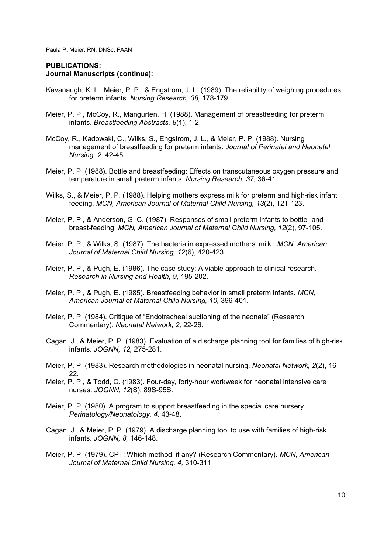- Kavanaugh, K. L., Meier, P. P., & Engstrom, J. L. (1989). The reliability of weighing procedures for preterm infants. *Nursing Research, 38,* 178-179.
- Meier, P. P., McCoy, R., Mangurten, H. (1988). Management of breastfeeding for preterm infants. *Breastfeeding Abstracts, 8*(1), 1-2.
- McCoy, R., Kadowaki, C., Wilks, S., Engstrom, J. L., & Meier, P. P. (1988). Nursing management of breastfeeding for preterm infants. *Journal of Perinatal and Neonatal Nursing, 2,* 42-45.
- Meier, P. P. (1988). Bottle and breastfeeding: Effects on transcutaneous oxygen pressure and temperature in small preterm infants. *Nursing Research, 37,* 36-41.
- Wilks, S., & Meier, P. P. (1988). Helping mothers express milk for preterm and high-risk infant feeding. *MCN, American Journal of Maternal Child Nursing, 13*(2), 121-123.
- Meier, P. P., & Anderson, G. C. (1987). Responses of small preterm infants to bottle- and breast-feeding. *MCN, American Journal of Maternal Child Nursing, 12*(2), 97-105.
- Meier, P. P., & Wilks, S. (1987). The bacteria in expressed mothers' milk. *MCN, American Journal of Maternal Child Nursing, 12*(6), 420-423.
- Meier, P. P., & Pugh, E. (1986). The case study: A viable approach to clinical research. *Research in Nursing and Health, 9,* 195-202.
- Meier, P. P., & Pugh, E. (1985). Breastfeeding behavior in small preterm infants. *MCN, American Journal of Maternal Child Nursing, 10,* 396-401.
- Meier, P. P. (1984). Critique of "Endotracheal suctioning of the neonate" (Research Commentary). *Neonatal Network, 2,* 22-26.
- Cagan, J., & Meier, P. P. (1983). Evaluation of a discharge planning tool for families of high-risk infants. *JOGNN, 12,* 275-281.
- Meier, P. P. (1983). Research methodologies in neonatal nursing. *Neonatal Network, 2*(2), 16- 22.
- Meier, P. P., & Todd, C. (1983). Four-day, forty-hour workweek for neonatal intensive care nurses. *JOGNN, 12*(S), 89S-95S.
- Meier, P. P. (1980). A program to support breastfeeding in the special care nursery. *Perinatology/Neonatology, 4,* 43-48.
- Cagan, J., & Meier, P. P. (1979). A discharge planning tool to use with families of high-risk infants. *JOGNN, 8,* 146-148.
- Meier, P. P. (1979). CPT: Which method, if any? (Research Commentary). *MCN, American Journal of Maternal Child Nursing, 4,* 310-311.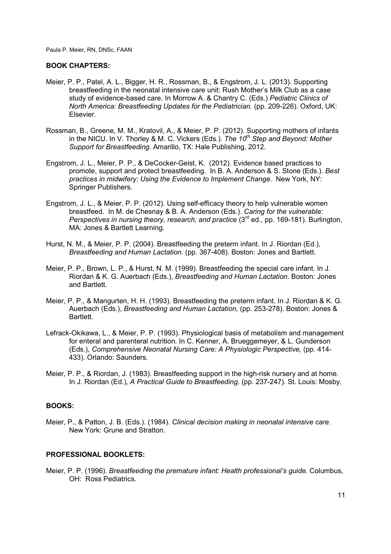### **BOOK CHAPTERS:**

- Meier, P. P., Patel, A. L., Bigger, H. R., Rossman, B., & Engstrom, J. L. (2013). Supporting breastfeeding in the neonatal intensive care unit: Rush Mother's Milk Club as a case study of evidence-based care. In Morrow A. & Chantry C. (Eds.) *Pediatric Clinics of North America: Breastfeeding Updates for the Pediatrician. (pp. 209-226). Oxford, UK:* Elsevier.
- Rossman, B., Greene, M. M., Kratovil, A., & Meier, P. P. (2012). Supporting mothers of infants in the NICU. In V. Thorley & M. C. Vickers (Eds.). *The 10th Step and Beyond: Mother Support for Breastfeeding*. Amarillo, TX: Hale Publishing, 2012.
- Engstrom, J. L., Meier, P. P., & DeCocker-Geist, K. (2012). Evidence based practices to promote, support and protect breastfeeding. In B. A. Anderson & S. Stone (Eds.). *Best practices in midwifery: Using the Evidence to Implement Change*. New York, NY: Springer Publishers.
- Engstrom, J. L., & Meier, P. P. (2012). Using self-efficacy theory to help vulnerable women breastfeed. In M. de Chesnay & B. A. Anderson (Eds.). *Caring for the vulnerable: Perspectives in nursing theory, research, and practice* (3<sup>rd</sup> ed., pp. 169-181). Burlington, MA: Jones & Bartlett Learning.
- Hurst, N. M., & Meier, P. P. (2004). Breastfeeding the preterm infant. In J. Riordan (Ed.), *Breastfeeding and Human Lactation.* (pp. 367-408). Boston: Jones and Bartlett.
- Meier, P. P., Brown, L. P., & Hurst, N. M. (1999). Breastfeeding the special care infant. In J. Riordan & K. G. Auerbach (Eds.), *Breastfeeding and Human Lactation.* Boston: Jones and Bartlett.
- Meier, P. P., & Mangurten, H. H. (1993). Breastfeeding the preterm infant. In J. Riordan & K. G. Auerbach (Eds.), *Breastfeeding and Human Lactation,* (pp. 253-278). Boston: Jones & Bartlett.
- Lefrack-Okikawa, L., & Meier, P. P. (1993). Physiological basis of metabolism and management for enteral and parenteral nutrition. In C. Kenner, A. Brueggemeyer, & L. Gunderson (Eds.), *Comprehensive Neonatal Nursing Care: A Physiologic Perspective,* (pp. 414- 433). Orlando: Saunders.
- Meier, P. P., & Riordan, J. (1983). Breastfeeding support in the high-risk nursery and at home. In J. Riordan (Ed.), *A Practical Guide to Breastfeeding,* (pp. 237-247). St. Louis: Mosby.

#### **BOOKS:**

Meier, P., & Patton, J. B. (Eds.). (1984). *Clinical decision making in neonatal intensive care.*  New York: Grune and Stratton.

### **PROFESSIONAL BOOKLETS:**

Meier, P. P. (1996). *Breastfeeding the premature infant: Health professional's guide.* Columbus, OH: Ross Pediatrics.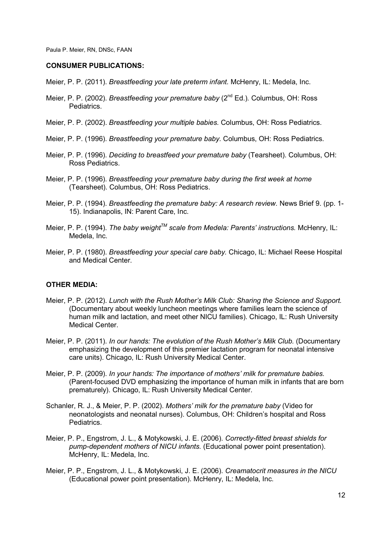#### **CONSUMER PUBLICATIONS:**

- Meier, P. P. (2011). *Breastfeeding your late preterm infant.* McHenry, IL: Medela, Inc.
- Meier, P. P. (2002). *Breastfeeding your premature baby* (2<sup>nd</sup> Ed.). Columbus, OH: Ross Pediatrics.
- Meier, P. P. (2002). *Breastfeeding your multiple babies.* Columbus, OH: Ross Pediatrics.
- Meier, P. P. (1996). *Breastfeeding your premature baby.* Columbus, OH: Ross Pediatrics.
- Meier, P. P. (1996). *Deciding to breastfeed your premature baby* (Tearsheet). Columbus, OH: Ross Pediatrics.
- Meier, P. P. (1996). *Breastfeeding your premature baby during the first week at home*  (Tearsheet). Columbus, OH: Ross Pediatrics.
- Meier, P. P. (1994). *Breastfeeding the premature baby: A research review.* News Brief 9. (pp. 1- 15). Indianapolis, IN: Parent Care, Inc.
- Meier, P. P. (1994). *The baby weightTM scale from Medela: Parents' instructions.* McHenry, IL: Medela, Inc.
- Meier, P. P. (1980). *Breastfeeding your special care baby.* Chicago, IL: Michael Reese Hospital and Medical Center.

#### **OTHER MEDIA:**

- Meier, P. P. (2012). *Lunch with the Rush Mother's Milk Club: Sharing the Science and Support.*  (Documentary about weekly luncheon meetings where families learn the science of human milk and lactation, and meet other NICU families). Chicago, IL: Rush University Medical Center.
- Meier, P. P. (2011). *In our hands: The evolution of the Rush Mother's Milk Club.* (Documentary emphasizing the development of this premier lactation program for neonatal intensive care units). Chicago, IL: Rush University Medical Center.
- Meier, P. P. (2009). *In your hands: The importance of mothers' milk for premature babies.* (Parent-focused DVD emphasizing the importance of human milk in infants that are born prematurely). Chicago, IL: Rush University Medical Center.
- Schanler, R. J., & Meier, P. P. (2002). *Mothers' milk for the premature baby* (Video for neonatologists and neonatal nurses). Columbus, OH: Children's hospital and Ross Pediatrics.
- Meier, P. P., Engstrom, J. L., & Motykowski, J. E. (2006). *Correctly-fitted breast shields for pump-dependent mothers of NICU infants.* (Educational power point presentation). McHenry, IL: Medela, Inc.
- Meier, P. P., Engstrom, J. L., & Motykowski, J. E. (2006). *Creamatocrit measures in the NICU*  (Educational power point presentation). McHenry, IL: Medela, Inc.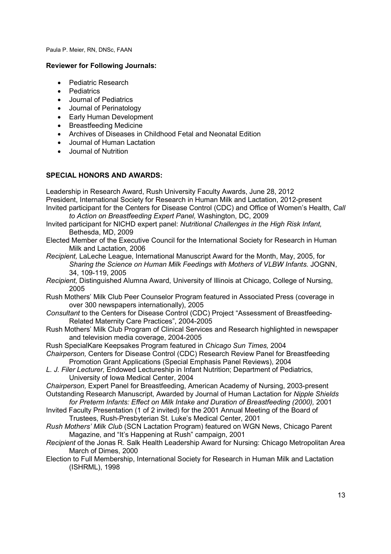## **Reviewer for Following Journals:**

- Pediatric Research
- Pediatrics
- Journal of Pediatrics
- Journal of Perinatology
- Early Human Development
- Breastfeeding Medicine
- Archives of Diseases in Childhood Fetal and Neonatal Edition
- Journal of Human Lactation
- Journal of Nutrition

## **SPECIAL HONORS AND AWARDS:**

Leadership in Research Award, Rush University Faculty Awards, June 28, 2012 President, International Society for Research in Human Milk and Lactation, 2012-present Invited participant for the Centers for Disease Control (CDC) and Office of Women's Health, *Call to Action on Breastfeeding Expert Panel,* Washington, DC, 2009

- Invited participant for NICHD expert panel: *Nutritional Challenges in the High Risk Infant,*  Bethesda, MD, 2009
- Elected Member of the Executive Council for the International Society for Research in Human Milk and Lactation, 2006
- *Recipient,* LaLeche League, International Manuscript Award for the Month, May, 2005, for *Sharing the Science on Human Milk Feedings with Mothers of VLBW Infants.* JOGNN, 34, 109-119, 2005
- *Recipient,* Distinguished Alumna Award, University of Illinois at Chicago, College of Nursing, 2005
- Rush Mothers' Milk Club Peer Counselor Program featured in Associated Press (coverage in over 300 newspapers internationally), 2005
- *Consultant* to the Centers for Disease Control (CDC) Project "Assessment of Breastfeeding-Related Maternity Care Practices", 2004-2005
- Rush Mothers' Milk Club Program of Clinical Services and Research highlighted in newspaper and television media coverage, 2004-2005
- Rush SpecialKare Keepsakes Program featured in *Chicago Sun Times,* 2004
- *Chairperson,* Centers for Disease Control (CDC) Research Review Panel for Breastfeeding Promotion Grant Applications (Special Emphasis Panel Reviews), 2004
- *L. J. Filer Lecturer,* Endowed Lectureship in Infant Nutrition; Department of Pediatrics, University of Iowa Medical Center, 2004

*Chairperson,* Expert Panel for Breastfeeding, American Academy of Nursing, 2003-present Outstanding Research Manuscript, Awarded by Journal of Human Lactation for *Nipple Shields* 

- for Preterm Infants: Effect on Milk Intake and Duration of Breastfeeding (2000), 2001 Invited Faculty Presentation (1 of 2 invited) for the 2001 Annual Meeting of the Board of Trustees, Rush-Presbyterian St. Luke's Medical Center, 2001
- *Rush Mothers' Milk Club* (SCN Lactation Program) featured on WGN News, Chicago Parent Magazine, and "It's Happening at Rush" campaign, 2001
- *Recipient* of the Jonas R. Salk Health Leadership Award for Nursing: Chicago Metropolitan Area March of Dimes, 2000
- Election to Full Membership, International Society for Research in Human Milk and Lactation (ISHRML), 1998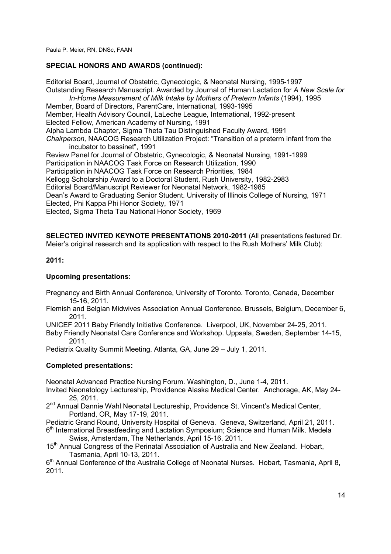# **SPECIAL HONORS AND AWARDS (continued):**

Editorial Board, Journal of Obstetric, Gynecologic, & Neonatal Nursing, 1995-1997 Outstanding Research Manuscript. Awarded by Journal of Human Lactation for *A New Scale for In-Home Measurement of Milk Intake by Mothers of Preterm Infants* (1994), 1995 Member, Board of Directors, ParentCare, International, 1993-1995 Member, Health Advisory Council, LaLeche League, International, 1992-present Elected Fellow, American Academy of Nursing, 1991 Alpha Lambda Chapter, Sigma Theta Tau Distinguished Faculty Award, 1991 *Chairperson,* NAACOG Research Utilization Project: "Transition of a preterm infant from the incubator to bassinet", 1991 Review Panel for Journal of Obstetric, Gynecologic, & Neonatal Nursing, 1991-1999 Participation in NAACOG Task Force on Research Utilization, 1990 Participation in NAACOG Task Force on Research Priorities, 1984 Kellogg Scholarship Award to a Doctoral Student, Rush University, 1982-2983 Editorial Board/Manuscript Reviewer for Neonatal Network, 1982-1985 Dean's Award to Graduating Senior Student. University of Illinois College of Nursing, 1971 Elected, Phi Kappa Phi Honor Society, 1971 Elected, Sigma Theta Tau National Honor Society, 1969

**SELECTED INVITED KEYNOTE PRESENTATIONS 2010-2011** (All presentations featured Dr. Meier's original research and its application with respect to the Rush Mothers' Milk Club):

# **2011:**

# **Upcoming presentations:**

Pregnancy and Birth Annual Conference, University of Toronto. Toronto, Canada, December 15-16, 2011.

Flemish and Belgian Midwives Association Annual Conference. Brussels, Belgium, December 6, 2011.

UNICEF 2011 Baby Friendly Initiative Conference. Liverpool, UK, November 24-25, 2011.

Baby Friendly Neonatal Care Conference and Workshop. Uppsala, Sweden, September 14-15, 2011.

Pediatrix Quality Summit Meeting. Atlanta, GA, June 29 – July 1, 2011.

# **Completed presentations:**

Neonatal Advanced Practice Nursing Forum. Washington, D., June 1-4, 2011.

Invited Neonatology Lectureship, Providence Alaska Medical Center. Anchorage, AK, May 24- 25, 2011.

2<sup>nd</sup> Annual Dannie Wahl Neonatal Lectureship, Providence St. Vincent's Medical Center, Portland, OR, May 17-19, 2011.

Pediatric Grand Round, University Hospital of Geneva. Geneva, Switzerland, April 21, 2011. 6<sup>th</sup> International Breastfeeding and Lactation Symposium; Science and Human Milk. Medela

Swiss, Amsterdam, The Netherlands, April 15-16, 2011.

15<sup>th</sup> Annual Congress of the Perinatal Association of Australia and New Zealand. Hobart, Tasmania, April 10-13, 2011.

6<sup>th</sup> Annual Conference of the Australia College of Neonatal Nurses. Hobart, Tasmania, April 8, 2011.